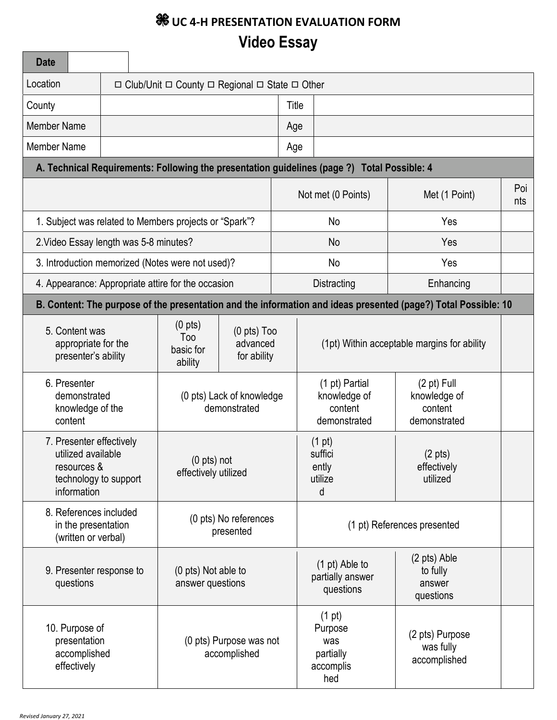# **WE UC 4-H PRESENTATION EVALUATION FORM Video Essay**

| <b>Date</b>                                                                                                                                                      |                                                                          |                                                                                                        |                                             |                    |                                                                                             |                                                                                                                |  |
|------------------------------------------------------------------------------------------------------------------------------------------------------------------|--------------------------------------------------------------------------|--------------------------------------------------------------------------------------------------------|---------------------------------------------|--------------------|---------------------------------------------------------------------------------------------|----------------------------------------------------------------------------------------------------------------|--|
| Location                                                                                                                                                         | $\Box$ Club/Unit $\Box$ County $\Box$ Regional $\Box$ State $\Box$ Other |                                                                                                        |                                             |                    |                                                                                             |                                                                                                                |  |
| County                                                                                                                                                           |                                                                          |                                                                                                        | Title                                       |                    |                                                                                             |                                                                                                                |  |
| <b>Member Name</b>                                                                                                                                               |                                                                          |                                                                                                        |                                             | Age                |                                                                                             |                                                                                                                |  |
| <b>Member Name</b>                                                                                                                                               |                                                                          |                                                                                                        |                                             | Age                |                                                                                             |                                                                                                                |  |
|                                                                                                                                                                  |                                                                          |                                                                                                        |                                             |                    | A. Technical Requirements: Following the presentation guidelines (page ?) Total Possible: 4 |                                                                                                                |  |
|                                                                                                                                                                  |                                                                          |                                                                                                        |                                             | Not met (0 Points) | Met (1 Point)                                                                               | Poi<br>nts                                                                                                     |  |
| 1. Subject was related to Members projects or "Spark"?                                                                                                           |                                                                          |                                                                                                        |                                             |                    | No                                                                                          | Yes                                                                                                            |  |
| 2. Video Essay length was 5-8 minutes?                                                                                                                           |                                                                          |                                                                                                        |                                             |                    | No                                                                                          | Yes                                                                                                            |  |
| 3. Introduction memorized (Notes were not used)?                                                                                                                 |                                                                          |                                                                                                        |                                             |                    | No                                                                                          | Yes                                                                                                            |  |
| 4. Appearance: Appropriate attire for the occasion                                                                                                               |                                                                          |                                                                                                        |                                             |                    | Distracting                                                                                 | Enhancing                                                                                                      |  |
|                                                                                                                                                                  |                                                                          |                                                                                                        |                                             |                    |                                                                                             | B. Content: The purpose of the presentation and the information and ideas presented (page?) Total Possible: 10 |  |
| (0 <sub>p</sub> ts)<br>5. Content was<br>$(0$ pts) $Too$<br>Too<br>advanced<br>appropriate for the<br>basic for<br>presenter's ability<br>for ability<br>ability |                                                                          |                                                                                                        | (1pt) Within acceptable margins for ability |                    |                                                                                             |                                                                                                                |  |
| 6. Presenter<br>demonstrated<br>knowledge of the<br>content                                                                                                      |                                                                          | (1 pt) Partial<br>(0 pts) Lack of knowledge<br>knowledge of<br>demonstrated<br>content<br>demonstrated |                                             |                    | $(2 \text{ pt})$ Full<br>knowledge of<br>content<br>demonstrated                            |                                                                                                                |  |
| 7. Presenter effectively<br>utilized available<br>resources &<br>technology to support<br>information                                                            |                                                                          | $(0 \text{ pts})$ not<br>effectively utilized                                                          |                                             |                    | $(1 \text{ pt})$<br>suffici<br>ently<br>utilize<br>d                                        | $(2 \text{ pts})$<br>effectively<br>utilized                                                                   |  |
| 8. References included<br>in the presentation<br>(written or verbal)                                                                                             |                                                                          | (0 pts) No references<br>presented                                                                     |                                             |                    | (1 pt) References presented                                                                 |                                                                                                                |  |
| 9. Presenter response to<br>questions                                                                                                                            |                                                                          | (0 pts) Not able to<br>answer questions                                                                |                                             |                    | (1 pt) Able to<br>partially answer<br>questions                                             | (2 pts) Able<br>to fully<br>answer<br>questions                                                                |  |
| 10. Purpose of<br>presentation<br>accomplished<br>effectively                                                                                                    |                                                                          | (0 pts) Purpose was not<br>accomplished                                                                |                                             |                    | $(1 \text{ pt})$<br>Purpose<br>was<br>partially<br>accomplis<br>hed                         | (2 pts) Purpose<br>was fully<br>accomplished                                                                   |  |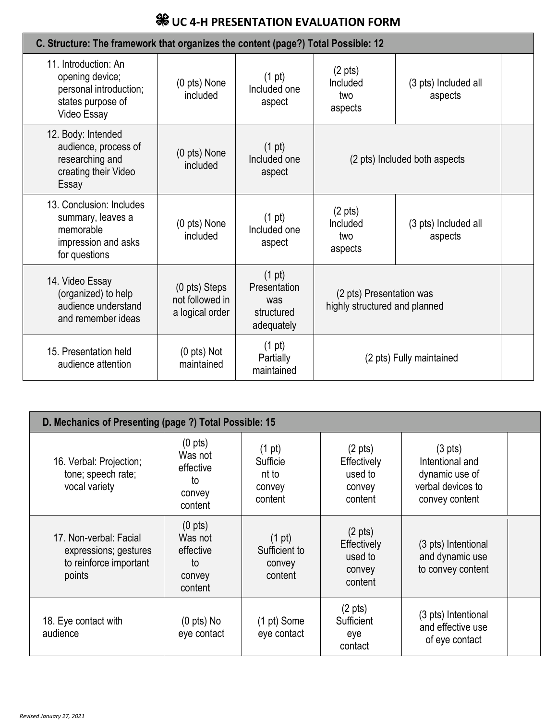## **WE UC 4-H PRESENTATION EVALUATION FORM**

| C. Structure: The framework that organizes the content (page?) Total Possible: 12                     |                                                     |                                                           |                                                           |                                 |  |
|-------------------------------------------------------------------------------------------------------|-----------------------------------------------------|-----------------------------------------------------------|-----------------------------------------------------------|---------------------------------|--|
| 11. Introduction: An<br>opening device;<br>personal introduction;<br>states purpose of<br>Video Essay | (0 pts) None<br>included                            | $(1 \text{ pt})$<br>Included one<br>aspect                | $(2 \text{ pts})$<br>Included<br>two<br>aspects           | (3 pts) Included all<br>aspects |  |
| 12. Body: Intended<br>audience, process of<br>researching and<br>creating their Video<br>Essay        | $(0 \text{ pts})$ None<br>included                  | $(1 \text{ pt})$<br>Included one<br>aspect                | (2 pts) Included both aspects                             |                                 |  |
| 13. Conclusion: Includes<br>summary, leaves a<br>memorable<br>impression and asks<br>for questions    | (0 pts) None<br>included                            | $(1 \text{ pt})$<br>Included one<br>aspect                | $(2 \text{ pts})$<br>Included<br>two<br>aspects           | (3 pts) Included all<br>aspects |  |
| 14. Video Essay<br>(organized) to help<br>audience understand<br>and remember ideas                   | (0 pts) Steps<br>not followed in<br>a logical order | (1 pt)<br>Presentation<br>was<br>structured<br>adequately | (2 pts) Presentation was<br>highly structured and planned |                                 |  |
| 15. Presentation held<br>audience attention                                                           | $(0 \text{ pts})$ Not<br>maintained                 | (1 pt)<br>Partially<br>maintained                         | (2 pts) Fully maintained                                  |                                 |  |

| D. Mechanics of Presenting (page ?) Total Possible: 15                              |                                                                      |                                                            |                                                                  |                                                                                               |  |
|-------------------------------------------------------------------------------------|----------------------------------------------------------------------|------------------------------------------------------------|------------------------------------------------------------------|-----------------------------------------------------------------------------------------------|--|
| 16. Verbal: Projection;<br>tone; speech rate;<br>vocal variety                      | $(0 \text{ pts})$<br>Was not<br>effective<br>to<br>convey<br>content | $(1 \text{ pt})$<br>Sufficie<br>nt to<br>convey<br>content | $(2 \text{ pts})$<br>Effectively<br>used to<br>convey<br>content | $(3 \text{ pts})$<br>Intentional and<br>dynamic use of<br>verbal devices to<br>convey content |  |
| 17. Non-verbal: Facial<br>expressions; gestures<br>to reinforce important<br>points | $(0 \text{ pts})$<br>Was not<br>effective<br>to<br>convey<br>content | (1 pt)<br>Sufficient to<br>convey<br>content               | $(2 \text{ pts})$<br>Effectively<br>used to<br>convey<br>content | (3 pts) Intentional<br>and dynamic use<br>to convey content                                   |  |
| 18. Eye contact with<br>audience                                                    | $(0$ pts) No<br>eye contact                                          | (1 pt) Some<br>eye contact                                 | $(2 \text{ pts})$<br>Sufficient<br>eye<br>contact                | (3 pts) Intentional<br>and effective use<br>of eye contact                                    |  |